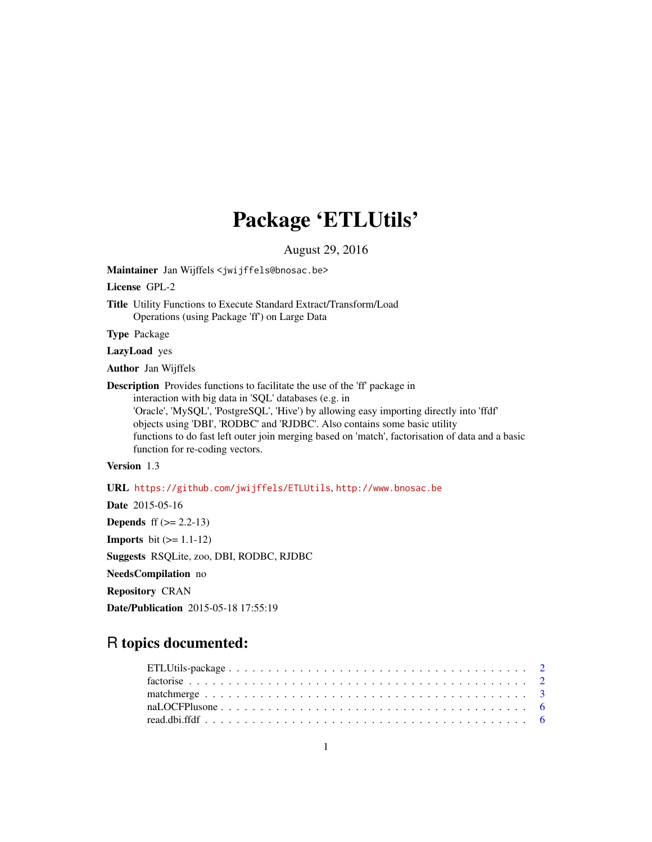## Package 'ETLUtils'

August 29, 2016

<span id="page-0-0"></span>Maintainer Jan Wijffels <jwijffels@bnosac.be>

License GPL-2

Title Utility Functions to Execute Standard Extract/Transform/Load Operations (using Package 'ff') on Large Data

Type Package

LazyLoad yes

Author Jan Wijffels

Description Provides functions to facilitate the use of the 'ff' package in interaction with big data in 'SQL' databases (e.g. in 'Oracle', 'MySQL', 'PostgreSQL', 'Hive') by allowing easy importing directly into 'ffdf' objects using 'DBI', 'RODBC' and 'RJDBC'. Also contains some basic utility functions to do fast left outer join merging based on 'match', factorisation of data and a basic function for re-coding vectors.

## Version 1.3

URL <https://github.com/jwijffels/ETLUtils>, <http://www.bnosac.be>

Date 2015-05-16 **Depends** ff  $(>= 2.2 - 13)$ **Imports** bit  $(>= 1.1-12)$ Suggests RSQLite, zoo, DBI, RODBC, RJDBC NeedsCompilation no Repository CRAN Date/Publication 2015-05-18 17:55:19

## R topics documented: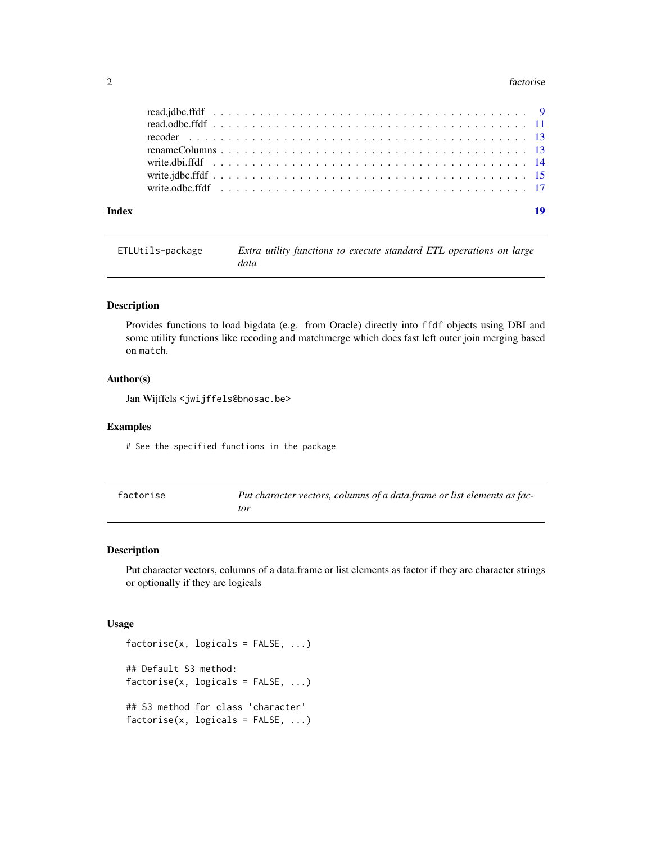#### <span id="page-1-0"></span>2 factorise that the contract of the contract of the contract of the contract of the contract of the contract of the contract of the contract of the contract of the contract of the contract of the contract of the contract

| Index |  |  |  |  |  |  |  |  |  |  |  |  |  |  |  | 19 |
|-------|--|--|--|--|--|--|--|--|--|--|--|--|--|--|--|----|
|       |  |  |  |  |  |  |  |  |  |  |  |  |  |  |  |    |
|       |  |  |  |  |  |  |  |  |  |  |  |  |  |  |  |    |
|       |  |  |  |  |  |  |  |  |  |  |  |  |  |  |  |    |
|       |  |  |  |  |  |  |  |  |  |  |  |  |  |  |  |    |
|       |  |  |  |  |  |  |  |  |  |  |  |  |  |  |  |    |
|       |  |  |  |  |  |  |  |  |  |  |  |  |  |  |  |    |
|       |  |  |  |  |  |  |  |  |  |  |  |  |  |  |  |    |

## ETLUtils-package *Extra utility functions to execute standard ETL operations on large data*

## Description

Provides functions to load bigdata (e.g. from Oracle) directly into ffdf objects using DBI and some utility functions like recoding and matchmerge which does fast left outer join merging based on match.

## Author(s)

Jan Wijffels <jwijffels@bnosac.be>

## Examples

# See the specified functions in the package

| factorise | Put character vectors, columns of a data.frame or list elements as fac- |
|-----------|-------------------------------------------------------------------------|
|           | tor                                                                     |

## Description

Put character vectors, columns of a data.frame or list elements as factor if they are character strings or optionally if they are logicals

#### Usage

```
factorise(x, logicals = FALSE, ...)## Default S3 method:
factorise(x, logicals = FALSE, ...)## S3 method for class 'character'
factorise(x, logicals = FALSE, ...)
```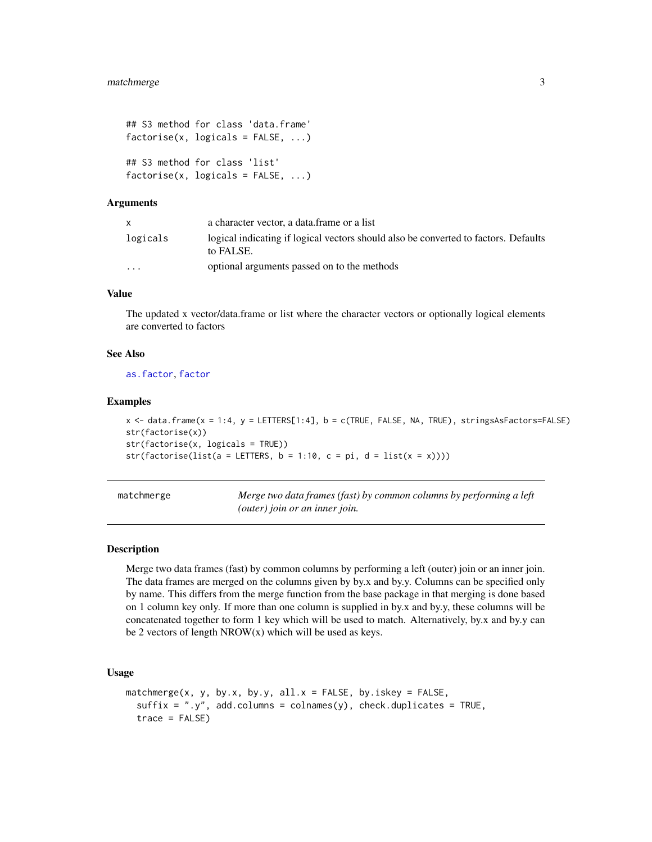```
## S3 method for class 'data.frame'
factorise(x, logicals = FALSE, ...)## S3 method for class 'list'
factorise(x, logicals = FALSE, ...)
```
#### Arguments

|          | a character vector, a data frame or a list                                                       |
|----------|--------------------------------------------------------------------------------------------------|
| logicals | logical indicating if logical vectors should also be converted to factors. Defaults<br>to FALSE. |
| $\cdots$ | optional arguments passed on to the methods                                                      |

## Value

The updated x vector/data.frame or list where the character vectors or optionally logical elements are converted to factors

#### See Also

[as.factor](#page-0-0), [factor](#page-0-0)

#### Examples

```
x <- data.frame(x = 1:4, y = LETTERS[1:4], b = c(TRUE, FALSE, NA, TRUE), stringsAsFactors=FALSE)
str(factorise(x))
str(factorise(x, logicals = TRUE))
str(factorise(list(a = LETTERS, b = 1:10, c = pi, d = list(x = x))))
```
matchmerge *Merge two data frames (fast) by common columns by performing a left (outer) join or an inner join.*

#### Description

Merge two data frames (fast) by common columns by performing a left (outer) join or an inner join. The data frames are merged on the columns given by by.x and by.y. Columns can be specified only by name. This differs from the merge function from the base package in that merging is done based on 1 column key only. If more than one column is supplied in by.x and by.y, these columns will be concatenated together to form 1 key which will be used to match. Alternatively, by.x and by.y can be 2 vectors of length  $NROW(x)$  which will be used as keys.

#### Usage

```
matchmerge(x, y, by.x, by.y, all.x = FALSE, by.iskey = FALSE,
  suffix = "y", add.columns = colnames(y), check.duplicates = TRUE,trace = FALSE)
```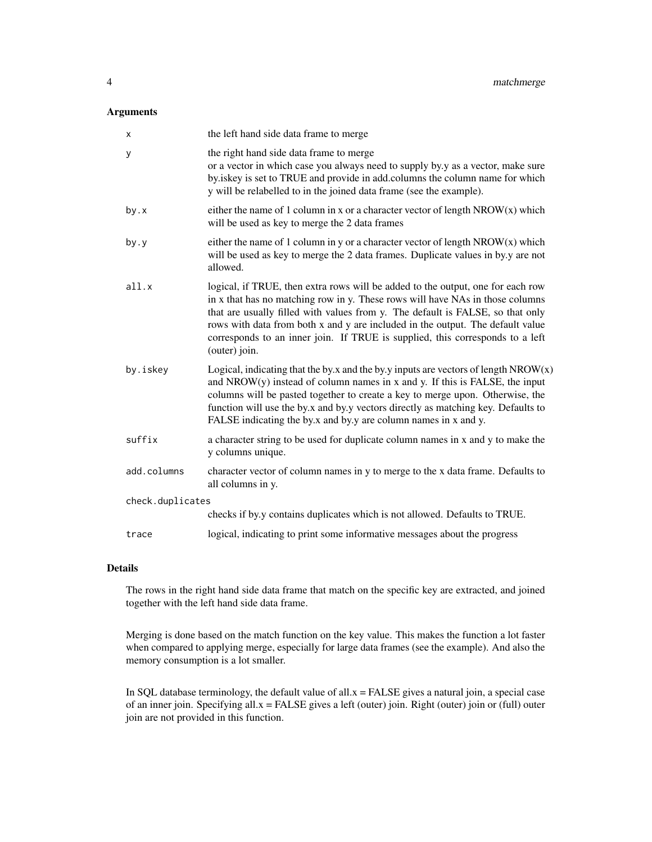## Arguments

| х                | the left hand side data frame to merge                                                                                                                                                                                                                                                                                                                                                                                                 |
|------------------|----------------------------------------------------------------------------------------------------------------------------------------------------------------------------------------------------------------------------------------------------------------------------------------------------------------------------------------------------------------------------------------------------------------------------------------|
| У                | the right hand side data frame to merge<br>or a vector in which case you always need to supply by.y as a vector, make sure<br>by iskey is set to TRUE and provide in add.columns the column name for which<br>y will be relabelled to in the joined data frame (see the example).                                                                                                                                                      |
| by.x             | either the name of 1 column in x or a character vector of length $NROW(x)$ which<br>will be used as key to merge the 2 data frames                                                                                                                                                                                                                                                                                                     |
| by.y             | either the name of 1 column in y or a character vector of length $NROW(x)$ which<br>will be used as key to merge the 2 data frames. Duplicate values in by.y are not<br>allowed.                                                                                                                                                                                                                                                       |
| all.x            | logical, if TRUE, then extra rows will be added to the output, one for each row<br>in x that has no matching row in y. These rows will have NAs in those columns<br>that are usually filled with values from y. The default is FALSE, so that only<br>rows with data from both x and y are included in the output. The default value<br>corresponds to an inner join. If TRUE is supplied, this corresponds to a left<br>(outer) join. |
| by.iskey         | Logical, indicating that the by.x and the by.y inputs are vectors of length $NROW(x)$<br>and $NROW(y)$ instead of column names in x and y. If this is FALSE, the input<br>columns will be pasted together to create a key to merge upon. Otherwise, the<br>function will use the by.x and by.y vectors directly as matching key. Defaults to<br>FALSE indicating the by.x and by.y are column names in x and y.                        |
| suffix           | a character string to be used for duplicate column names in x and y to make the<br>y columns unique.                                                                                                                                                                                                                                                                                                                                   |
| add.columns      | character vector of column names in y to merge to the x data frame. Defaults to<br>all columns in y.                                                                                                                                                                                                                                                                                                                                   |
| check.duplicates |                                                                                                                                                                                                                                                                                                                                                                                                                                        |
|                  | checks if by y contains duplicates which is not allowed. Defaults to TRUE.                                                                                                                                                                                                                                                                                                                                                             |
| trace            | logical, indicating to print some informative messages about the progress                                                                                                                                                                                                                                                                                                                                                              |

## Details

The rows in the right hand side data frame that match on the specific key are extracted, and joined together with the left hand side data frame.

Merging is done based on the match function on the key value. This makes the function a lot faster when compared to applying merge, especially for large data frames (see the example). And also the memory consumption is a lot smaller.

In SQL database terminology, the default value of all. $x = FALSE$  gives a natural join, a special case of an inner join. Specifying all.x = FALSE gives a left (outer) join. Right (outer) join or (full) outer join are not provided in this function.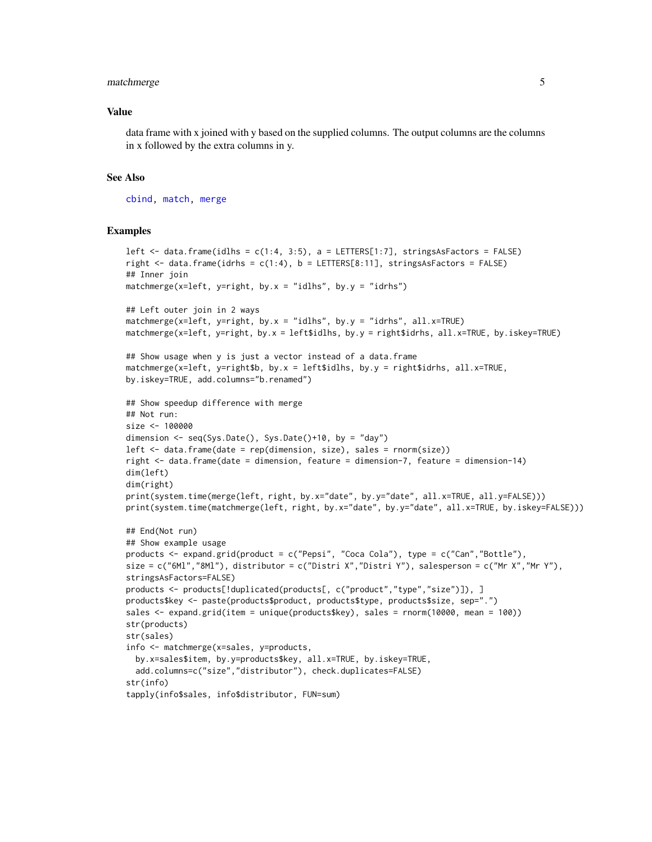## <span id="page-4-0"></span>matchmerge 5

#### Value

data frame with x joined with y based on the supplied columns. The output columns are the columns in x followed by the extra columns in y.

#### See Also

[cbind,](#page-0-0) [match,](#page-0-0) [merge](#page-0-0)

```
left \le data.frame(idlhs = c(1:4, 3:5), a = LETTERS[1:7], stringsAsFactors = FALSE)
right \leq data.frame(idrhs = c(1:4), b = LETTERS[8:11], stringsAsFactors = FALSE)
## Inner join
matchmerge(x=left, y=right, by.x = "idlhs", by.y = "idrhs")
## Left outer join in 2 ways
matchmerge(x=left, y=right, by.x = "idlhs", by.y = "idrhs", all.x=TRUE)
matchmerge(x=left, y=right, by.x = left$idlhs, by.y = right$idrhs, all.x=TRUE, by.iskey=TRUE)
## Show usage when y is just a vector instead of a data.frame
matchmerge(x=left, y=right$b, by.x = left$idlhs, by.y = right$idrhs, all.x=TRUE,
by.iskey=TRUE, add.columns="b.renamed")
## Show speedup difference with merge
## Not run:
size <- 100000
dimension <- seq(Sys.Date(), Sys.Date()+10, by = "day")
left <- data.frame(date = rep(dimension, size), sales = rnorm(size))
right <- data.frame(date = dimension, feature = dimension-7, feature = dimension-14)
dim(left)
dim(right)
print(system.time(merge(left, right, by.x="date", by.y="date", all.x=TRUE, all.y=FALSE)))
print(system.time(matchmerge(left, right, by.x="date", by.y="date", all.x=TRUE, by.iskey=FALSE)))
## End(Not run)
## Show example usage
products <- expand.grid(product = c("Pepsi", "Coca Cola"), type = c("Can","Bottle"),
size = c("6Ml","8Ml"), distributor = c("Distri X","Distri Y"), salesperson = c("Mr X","Mr Y"),
stringsAsFactors=FALSE)
products <- products[!duplicated(products[, c("product","type","size")]), ]
products$key <- paste(products$product, products$type, products$size, sep=".")
sales <- expand.grid(item = unique(products$key), sales = rnorm(10000, mean = 100))
str(products)
str(sales)
info <- matchmerge(x=sales, y=products,
  by.x=sales$item, by.y=products$key, all.x=TRUE, by.iskey=TRUE,
  add.columns=c("size","distributor"), check.duplicates=FALSE)
str(info)
tapply(info$sales, info$distributor, FUN=sum)
```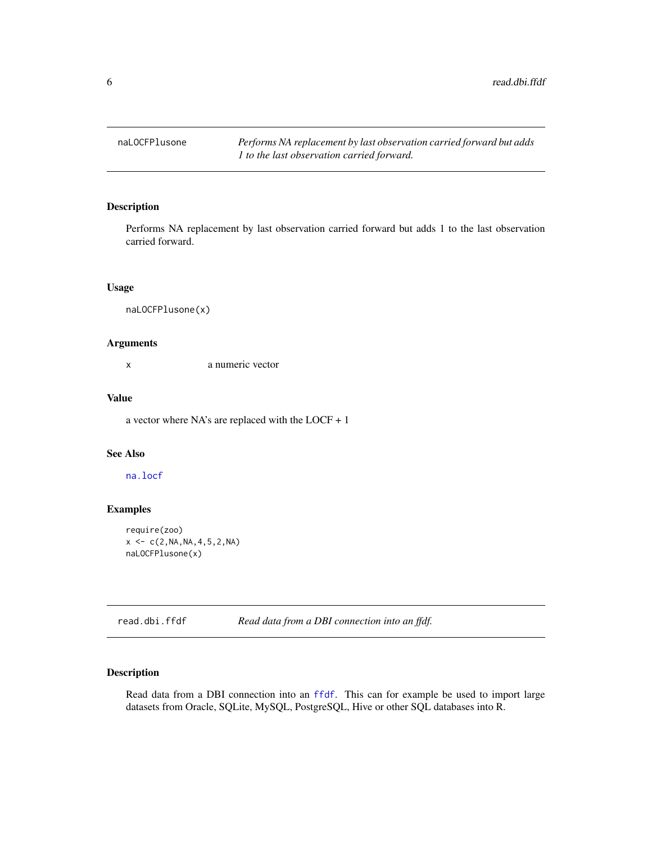<span id="page-5-0"></span>

## Description

Performs NA replacement by last observation carried forward but adds 1 to the last observation carried forward.

## Usage

naLOCFPlusone(x)

#### Arguments

x a numeric vector

## Value

a vector where NA's are replaced with the LOCF + 1

## See Also

[na.locf](#page-0-0)

## Examples

```
require(zoo)
x < -c(2, NA, NA, 4, 5, 2, NA)naLOCFPlusone(x)
```
<span id="page-5-1"></span>read.dbi.ffdf *Read data from a DBI connection into an ffdf.*

## Description

Read data from a DBI connection into an [ffdf](#page-0-0). This can for example be used to import large datasets from Oracle, SQLite, MySQL, PostgreSQL, Hive or other SQL databases into R.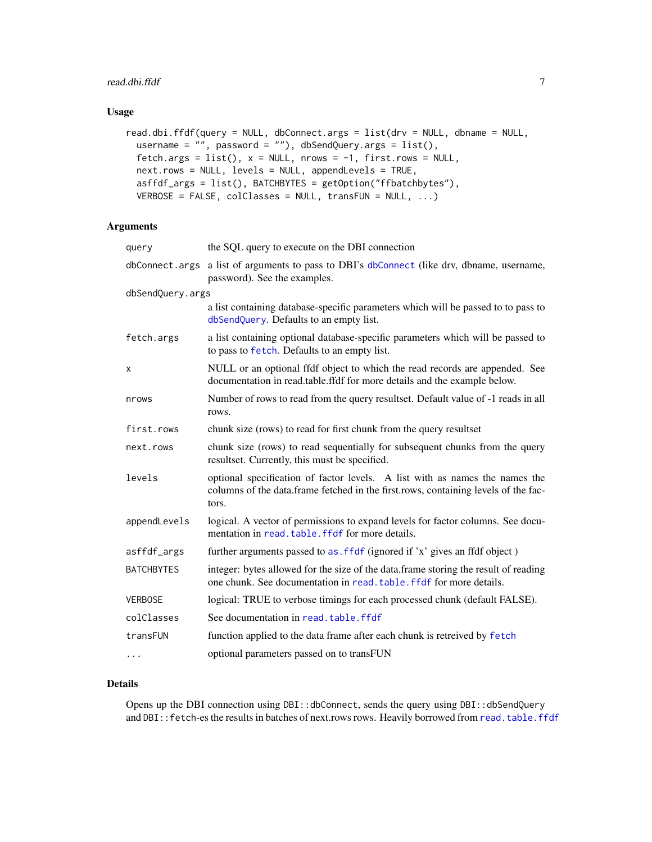## <span id="page-6-0"></span>read.dbi.ffdf 7

## Usage

```
read.dbi.ffdf(query = NULL, dbConnect.args = list(drv = NULL, dbname = NULL,
 username = "", password = ""), dbSendQuery.args = list(),
 fetch.args = list(), x = NULL, nrows = -1, first.rows = NULL,
 next.rows = NULL, levels = NULL, appendLevels = TRUE,
 asffdf_args = list(), BATCHBYTES = getOption("ffbatchbytes"),
 VERBOSE = FALSE, colClasses = NULL, transFUN = NULL, ...)
```
## Arguments

| query             | the SQL query to execute on the DBI connection                                                                                                                             |
|-------------------|----------------------------------------------------------------------------------------------------------------------------------------------------------------------------|
|                   | dbConnect.args a list of arguments to pass to DBI's dbConnect (like drv, dbname, username,<br>password). See the examples.                                                 |
| dbSendQuery.args  |                                                                                                                                                                            |
|                   | a list containing database-specific parameters which will be passed to to pass to<br>dbSendQuery. Defaults to an empty list.                                               |
| fetch.args        | a list containing optional database-specific parameters which will be passed to<br>to pass to fetch. Defaults to an empty list.                                            |
| X                 | NULL or an optional ffdf object to which the read records are appended. See<br>documentation in read.table.ffdf for more details and the example below.                    |
| nrows             | Number of rows to read from the query resultset. Default value of -1 reads in all<br>rows.                                                                                 |
| first.rows        | chunk size (rows) to read for first chunk from the query resultset                                                                                                         |
| next.rows         | chunk size (rows) to read sequentially for subsequent chunks from the query<br>resultset. Currently, this must be specified.                                               |
| levels            | optional specification of factor levels. A list with as names the names the<br>columns of the data.frame fetched in the first.rows, containing levels of the fac-<br>tors. |
| appendLevels      | logical. A vector of permissions to expand levels for factor columns. See docu-<br>mentation in read, table, ffdf for more details.                                        |
| asffdf_args       | further arguments passed to as . f f d f (ignored if 'x' gives an f d f object)                                                                                            |
| <b>BATCHBYTES</b> | integer: bytes allowed for the size of the data.frame storing the result of reading<br>one chunk. See documentation in read, table, ffdf for more details.                 |
| VERBOSE           | logical: TRUE to verbose timings for each processed chunk (default FALSE).                                                                                                 |
| colClasses        | See documentation in read. table. ffdf                                                                                                                                     |
| transFUN          | function applied to the data frame after each chunk is retreived by fetch                                                                                                  |
| $\ddotsc$         | optional parameters passed on to transFUN                                                                                                                                  |

## Details

Opens up the DBI connection using DBI::dbConnect, sends the query using DBI::dbSendQuery and DBI::fetch-es the results in batches of next.rows rows. Heavily borrowed from [read.table.ffdf](#page-0-0)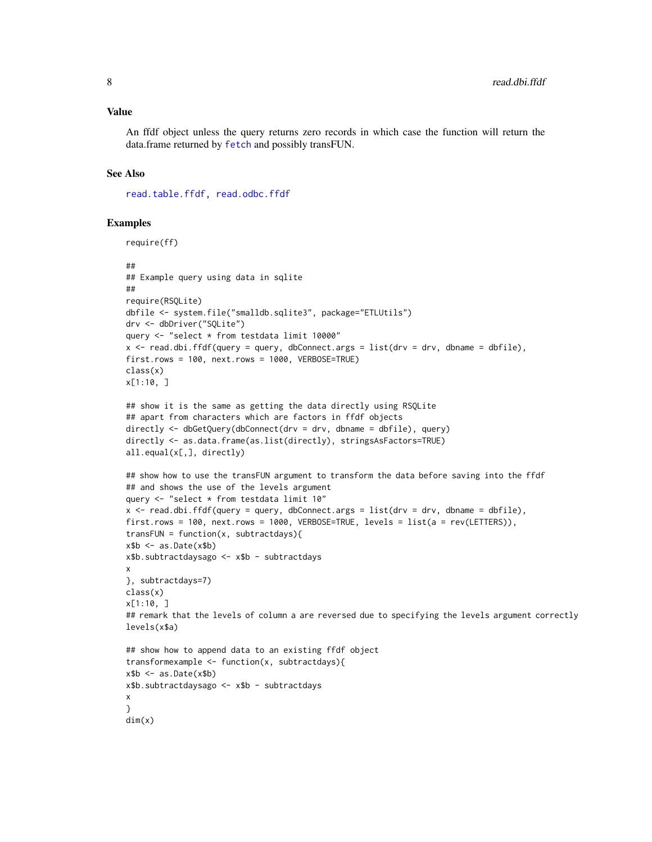#### <span id="page-7-0"></span>Value

An ffdf object unless the query returns zero records in which case the function will return the data.frame returned by [fetch](#page-0-0) and possibly transFUN.

#### See Also

[read.table.ffdf,](#page-0-0) [read.odbc.ffdf](#page-10-1)

```
require(ff)
##
## Example query using data in sqlite
##
require(RSQLite)
dbfile <- system.file("smalldb.sqlite3", package="ETLUtils")
drv <- dbDriver("SQLite")
query <- "select * from testdata limit 10000"
x \le read.dbi.ffdf(query = query, dbConnect.args = list(drv = drv, dbname = dbfile),
first.rows = 100, next.rows = 1000, VERBOSE=TRUE)
class(x)
x[1:10, ]
## show it is the same as getting the data directly using RSQLite
## apart from characters which are factors in ffdf objects
directly <- dbGetQuery(dbConnect(drv = drv, dbname = dbfile), query)
directly <- as.data.frame(as.list(directly), stringsAsFactors=TRUE)
all.equal(x[,], directly)
## show how to use the transFUN argument to transform the data before saving into the ffdf
## and shows the use of the levels argument
query <- "select * from testdata limit 10"
x \le read.dbi.ffdf(query = query, dbConnect.args = list(drv = drv, dbname = dbfile),
first.rows = 100, next.rows = 1000, VERBOSE=TRUE, levels = list(a = rev(LETTERS)),
transFUN = function(x, subtractdays){
x$b < as.Date(x$b)
x$b.subtractdaysago <- x$b - subtractdays
x
}, subtractdays=7)
class(x)
x[1:10, ]
## remark that the levels of column a are reversed due to specifying the levels argument correctly
levels(x$a)
## show how to append data to an existing ffdf object
transformexample <- function(x, subtractdays){
x$b <- as.Date(x$b)
x$b.subtractdaysago <- x$b - subtractdays
x
}
dim(x)
```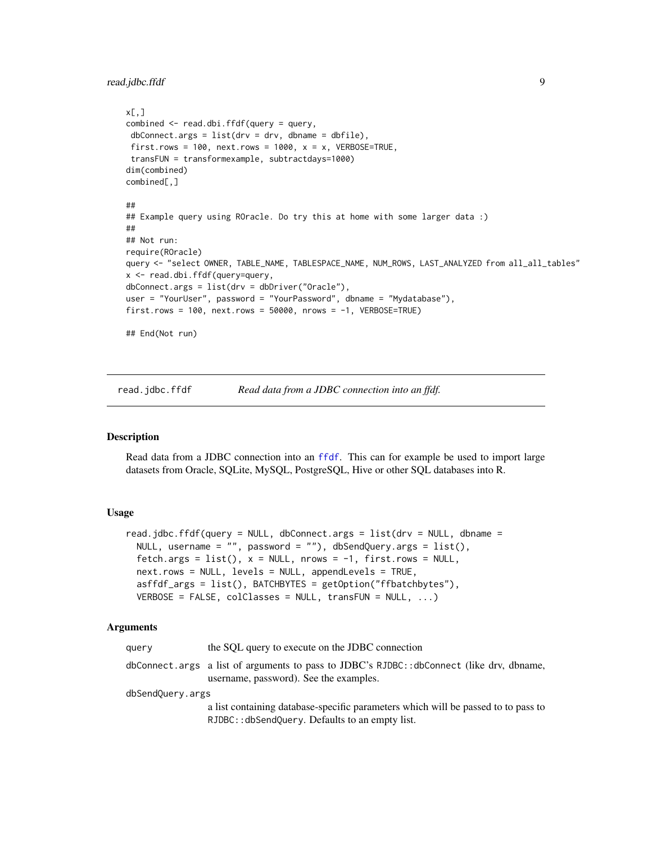<span id="page-8-0"></span>read.jdbc.ffdf 9

```
x[,]
combined <- read.dbi.ffdf(query = query,
dbConnect.args = list(drv = drv, dbname = dbfile),
first.rows = 100, next.rows = 1000, x = x, VERBOSE=TRUE,
transFUN = transformexample, subtractdays=1000)
dim(combined)
combined[,]
##
## Example query using ROracle. Do try this at home with some larger data :)
##
## Not run:
require(ROracle)
query <- "select OWNER, TABLE_NAME, TABLESPACE_NAME, NUM_ROWS, LAST_ANALYZED from all_all_tables"
x <- read.dbi.ffdf(query=query,
dbConnect.args = list(drv = dbDriver("Oracle"),
user = "YourUser", password = "YourPassword", dbname = "Mydatabase"),
first.rows = 100, next.rows = 50000, nrows = -1, VERBOSE=TRUE)
## End(Not run)
```
<span id="page-8-1"></span>read.jdbc.ffdf *Read data from a JDBC connection into an ffdf.*

#### **Description**

Read data from a JDBC connection into an [ffdf](#page-0-0). This can for example be used to import large datasets from Oracle, SQLite, MySQL, PostgreSQL, Hive or other SQL databases into R.

## Usage

```
read.jdbc.ffdf(query = NULL, dbConnect.args = list(drv = NULL, dbname =
 NULL, username = ", password = "), dbSendQuery.args = list(),
  fetch.args = list(), x = NULL, nrows = -1, first.rows = NULL,
  next.rows = NULL, levels = NULL, appendLevels = TRUE,
  asffdf_args = list(), BATCHBYTES = getOption("ffbatchbytes"),
 VERBOSE = FALSE, colClasses = NULL, transFUN = NULL, ...)
```

| query            | the SQL query to execute on the JDBC connection                                                                                      |
|------------------|--------------------------------------------------------------------------------------------------------------------------------------|
|                  | dbConnect.args a list of arguments to pass to JDBC's RJDBC::dbConnect (like drv, dbname,<br>username, password). See the examples.   |
| dbSendQuery.args |                                                                                                                                      |
|                  | a list containing database-specific parameters which will be passed to to pass to<br>RJDBC:: dbSendQuery. Defaults to an empty list. |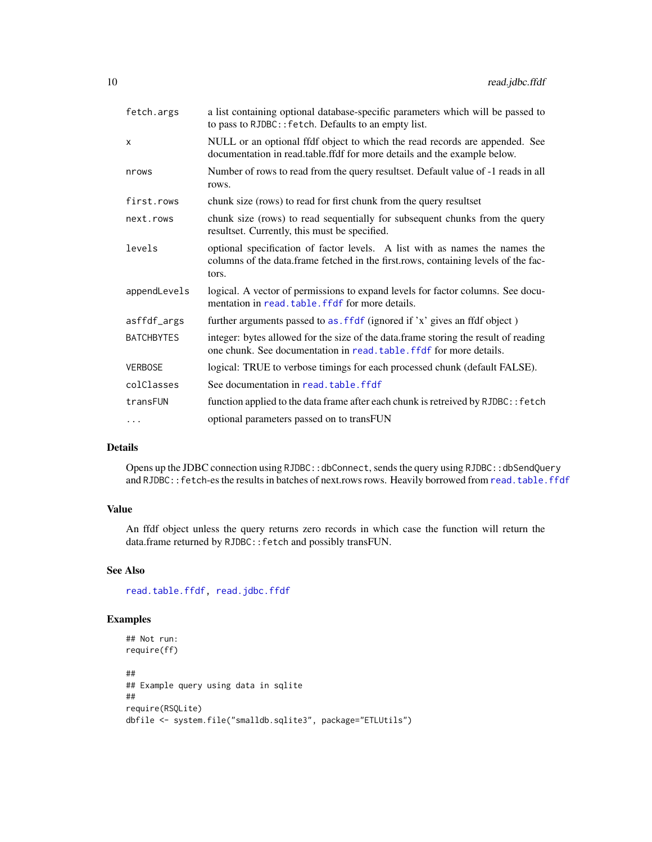<span id="page-9-0"></span>

| fetch.args        | a list containing optional database-specific parameters which will be passed to<br>to pass to RJDBC:: fetch. Defaults to an empty list.                                    |
|-------------------|----------------------------------------------------------------------------------------------------------------------------------------------------------------------------|
| X                 | NULL or an optional ffdf object to which the read records are appended. See<br>documentation in read.table.ffdf for more details and the example below.                    |
| nrows             | Number of rows to read from the query resultset. Default value of -1 reads in all<br>rows.                                                                                 |
| first.rows        | chunk size (rows) to read for first chunk from the query resultset                                                                                                         |
| next.rows         | chunk size (rows) to read sequentially for subsequent chunks from the query<br>resultset. Currently, this must be specified.                                               |
| levels            | optional specification of factor levels. A list with as names the names the<br>columns of the data.frame fetched in the first.rows, containing levels of the fac-<br>tors. |
| appendLevels      | logical. A vector of permissions to expand levels for factor columns. See docu-<br>mentation in read. table. ffdf for more details.                                        |
| asffdf_args       | further arguments passed to as . f f df (ignored if 'x' gives an ffdf object)                                                                                              |
| <b>BATCHBYTES</b> | integer: bytes allowed for the size of the data.frame storing the result of reading<br>one chunk. See documentation in read, table, ffdf for more details.                 |
| <b>VERBOSE</b>    | logical: TRUE to verbose timings for each processed chunk (default FALSE).                                                                                                 |
| colClasses        | See documentation in read. table. ffdf                                                                                                                                     |
| transFUN          | function applied to the data frame after each chunk is retreived by RJDBC:: fetch                                                                                          |
| $\cdots$          | optional parameters passed on to transFUN                                                                                                                                  |

## Details

Opens up the JDBC connection using RJDBC::dbConnect, sends the query using RJDBC::dbSendQuery and RJDBC:: fetch-es the results in batches of next.rows rows. Heavily borrowed from [read.table.ffdf](#page-0-0)

## Value

An ffdf object unless the query returns zero records in which case the function will return the data.frame returned by RJDBC::fetch and possibly transFUN.

## See Also

[read.table.ffdf,](#page-0-0) [read.jdbc.ffdf](#page-8-1)

```
## Not run:
require(ff)
##
## Example query using data in sqlite
##
require(RSQLite)
dbfile <- system.file("smalldb.sqlite3", package="ETLUtils")
```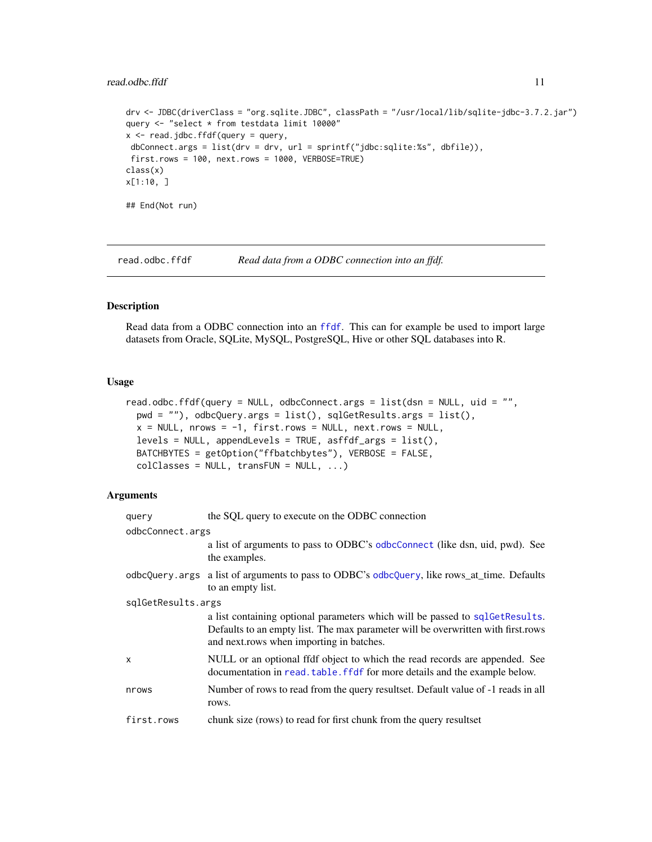## <span id="page-10-0"></span>read.odbc.ffdf 11

```
drv <- JDBC(driverClass = "org.sqlite.JDBC", classPath = "/usr/local/lib/sqlite-jdbc-3.7.2.jar")
query <- "select * from testdata limit 10000"
x <- read.jdbc.ffdf(query = query,
dbConnect.args = list(drv = drv, url = sprintf("jdbc:sqlite:%s", dbfile)),
first.rows = 100, next.rows = 1000, VERBOSE=TRUE)
class(x)
x[1:10, ]
## End(Not run)
```
<span id="page-10-1"></span>read.odbc.ffdf *Read data from a ODBC connection into an ffdf.*

## Description

Read data from a ODBC connection into an [ffdf](#page-0-0). This can for example be used to import large datasets from Oracle, SQLite, MySQL, PostgreSQL, Hive or other SQL databases into R.

#### Usage

```
read.odbc.ffdf(query = NULL, odbcConnect.args = list(dsn = NULL, uid = "",
 pwd = ""), odbcQuery.args = list(), sqlGetResults.args = list(),
 x = NULL, nrows = -1, first.rows = NULL, next.rows = NULL,
 levels = NULL, appendLevels = TRUE, asffdf_{args} = list(),
 BATCHBYTES = getOption("ffbatchbytes"), VERBOSE = FALSE,
 colClasses = NULL, transform = NULL, ...)
```

| query              | the SQL query to execute on the ODBC connection                                                                                                                                                               |  |  |  |  |  |
|--------------------|---------------------------------------------------------------------------------------------------------------------------------------------------------------------------------------------------------------|--|--|--|--|--|
| odbcConnect.args   |                                                                                                                                                                                                               |  |  |  |  |  |
|                    | a list of arguments to pass to ODBC's odbcConnect (like dsn, uid, pwd). See<br>the examples.                                                                                                                  |  |  |  |  |  |
|                    | odbcQuery.args a list of arguments to pass to ODBC's odbcQuery, like rows_at_time. Defaults<br>to an empty list.                                                                                              |  |  |  |  |  |
| sqlGetResults.args |                                                                                                                                                                                                               |  |  |  |  |  |
|                    | a list containing optional parameters which will be passed to sql GetResults.<br>Defaults to an empty list. The max parameter will be overwritten with first rows<br>and next rows when importing in batches. |  |  |  |  |  |
| X                  | NULL or an optional ffdf object to which the read records are appended. See<br>documentation in read, table, ffdf for more details and the example below.                                                     |  |  |  |  |  |
| nrows              | Number of rows to read from the query resultset. Default value of -1 reads in all<br>rows.                                                                                                                    |  |  |  |  |  |
| first.rows         | chunk size (rows) to read for first chunk from the query resultset                                                                                                                                            |  |  |  |  |  |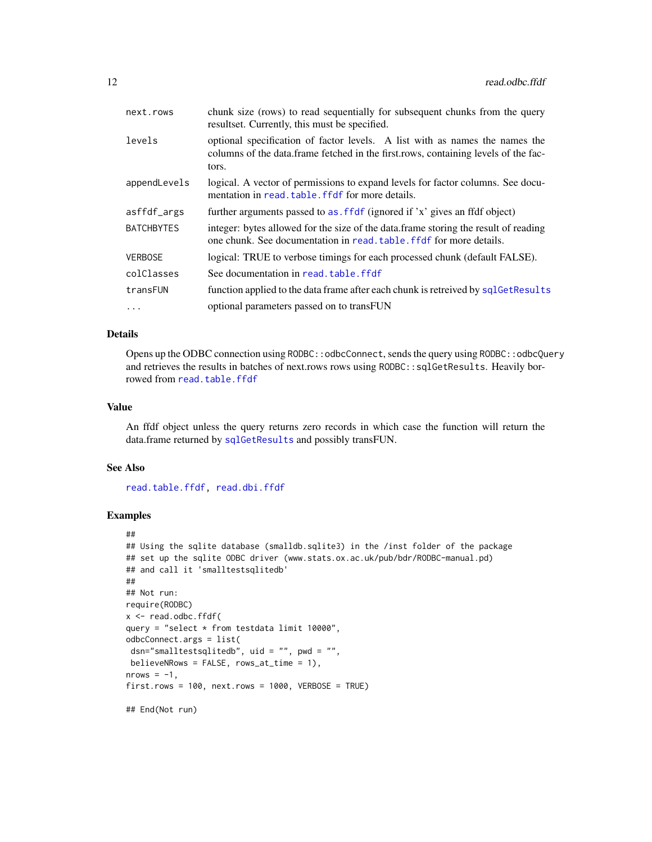<span id="page-11-0"></span>

| next.rows         | chunk size (rows) to read sequentially for subsequent chunks from the query<br>resultset. Currently, this must be specified.                                               |
|-------------------|----------------------------------------------------------------------------------------------------------------------------------------------------------------------------|
| levels            | optional specification of factor levels. A list with as names the names the<br>columns of the data.frame fetched in the first rows, containing levels of the fac-<br>tors. |
| appendLevels      | logical. A vector of permissions to expand levels for factor columns. See docu-<br>mentation in read, table, ffdf for more details.                                        |
| asffdf_args       | further arguments passed to as f f df (ignored if 'x' gives an f df object)                                                                                                |
| <b>BATCHBYTES</b> | integer: bytes allowed for the size of the data.frame storing the result of reading<br>one chunk. See documentation in read, table, ffdf for more details.                 |
| <b>VERBOSE</b>    | logical: TRUE to verbose timings for each processed chunk (default FALSE).                                                                                                 |
| colClasses        | See documentation in read, table, ffdf                                                                                                                                     |
| transFUN          | function applied to the data frame after each chunk is retreived by sqlGetResults                                                                                          |
| .                 | optional parameters passed on to transFUN                                                                                                                                  |

## Details

Opens up the ODBC connection using RODBC::odbcConnect, sends the query using RODBC::odbcQuery and retrieves the results in batches of next.rows rows using RODBC::sqlGetResults. Heavily borrowed from [read.table.ffdf](#page-0-0)

#### Value

An ffdf object unless the query returns zero records in which case the function will return the data.frame returned by [sqlGetResults](#page-0-0) and possibly transFUN.

## See Also

[read.table.ffdf,](#page-0-0) [read.dbi.ffdf](#page-5-1)

```
##
## Using the sqlite database (smalldb.sqlite3) in the /inst folder of the package
## set up the sqlite ODBC driver (www.stats.ox.ac.uk/pub/bdr/RODBC-manual.pd)
## and call it 'smalltestsqlitedb'
##
## Not run:
require(RODBC)
x <- read.odbc.ffdf(
query = "select * from testdata limit 10000",
odbcConnect.args = list(
 dsn="smalltestsqlitedb", uid = "", pwd = "",
believeNRows = FALSE, rows_at_time = 1),
nrows = -1.
first rows = 100, next rows = 1000, VERBOSE = TRUE## End(Not run)
```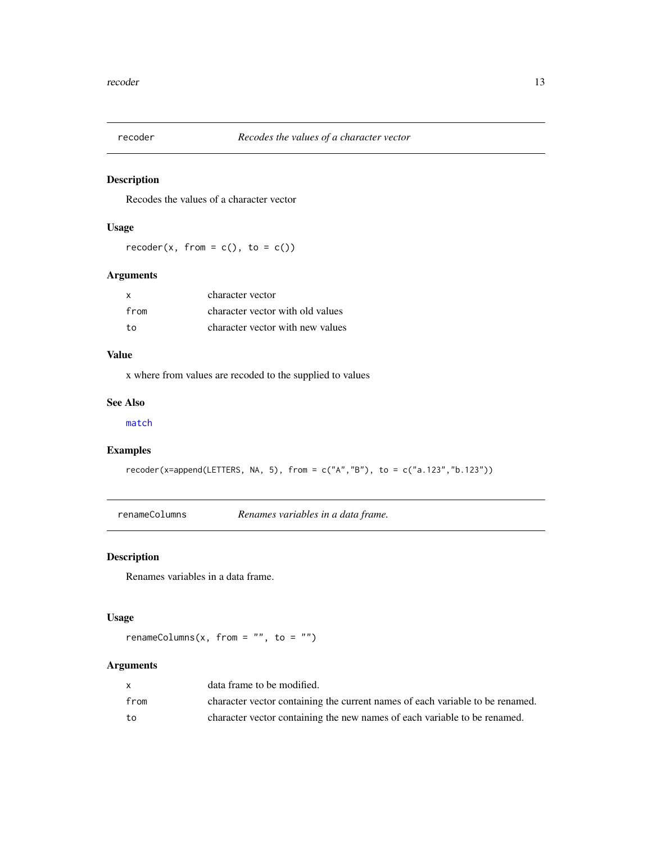<span id="page-12-1"></span><span id="page-12-0"></span>

## Description

Recodes the values of a character vector

## Usage

 $recoder(x, from = c(), to = c())$ 

## Arguments

| x    | character vector                 |
|------|----------------------------------|
| from | character vector with old values |
| to   | character vector with new values |

## Value

x where from values are recoded to the supplied to values

## See Also

[match](#page-0-0)

## Examples

 $recoder(x=append(LETTERS, NA, 5), from = c("A", "B"), to = c("a.123", "b.123"))$ 

renameColumns *Renames variables in a data frame.*

## Description

Renames variables in a data frame.

## Usage

renameColumns(x, from =  $"$ , to =  $"$ )

|      | data frame to be modified.                                                    |
|------|-------------------------------------------------------------------------------|
| from | character vector containing the current names of each variable to be renamed. |
| to   | character vector containing the new names of each variable to be renamed.     |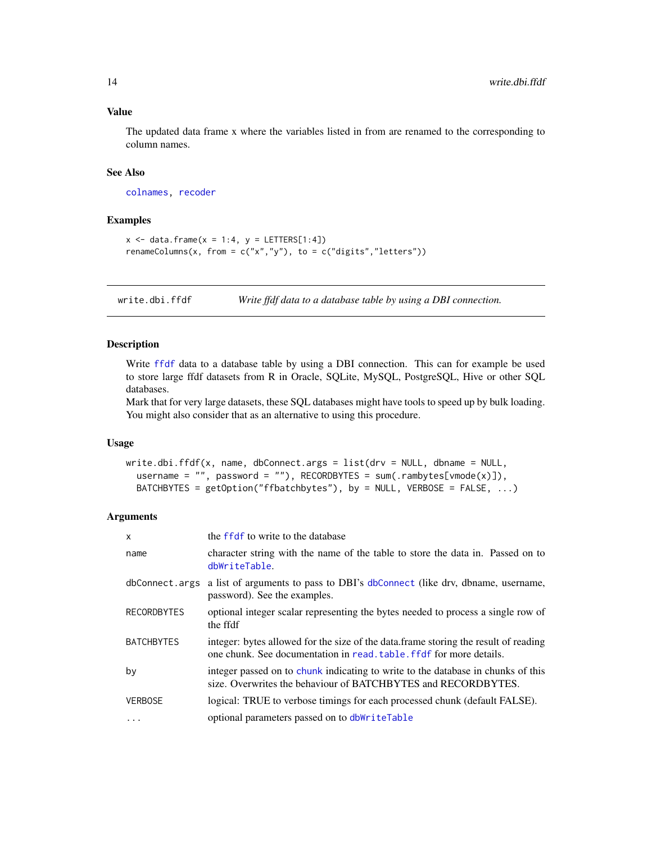## Value

The updated data frame x where the variables listed in from are renamed to the corresponding to column names.

## See Also

[colnames,](#page-0-0) [recoder](#page-12-1)

## Examples

```
x \le - data.frame(x = 1:4, y = LETTERS[1:4])
renameColumns(x, from = c("x", "y"), to = c("digits", "letters"))
```
write.dbi.ffdf *Write ffdf data to a database table by using a DBI connection.*

## Description

Write [ffdf](#page-0-0) data to a database table by using a DBI connection. This can for example be used to store large ffdf datasets from R in Oracle, SQLite, MySQL, PostgreSQL, Hive or other SQL databases.

Mark that for very large datasets, these SQL databases might have tools to speed up by bulk loading. You might also consider that as an alternative to using this procedure.

#### Usage

```
write.dbi.ffdf(x, name, dbConnect.args = list(drv = NULL, dbname = NULL,
  username = ", password = "), RECORDBYTES = sum(.rambytes[vmode(x)]),
  BATCHBYTES = getOption("ffbatchbytes"), by = NULL, VERBOSE = FALSE, ...)
```

| $\mathsf{x}$       | the ffdf to write to the database                                                                                                                           |
|--------------------|-------------------------------------------------------------------------------------------------------------------------------------------------------------|
| name               | character string with the name of the table to store the data in. Passed on to<br>dbWriteTable.                                                             |
| dbConnect.args     | a list of arguments to pass to DBI's dbConnect (like drv, dbname, username,<br>password). See the examples.                                                 |
| <b>RECORDBYTES</b> | optional integer scalar representing the bytes needed to process a single row of<br>the ffdf                                                                |
| <b>BATCHBYTES</b>  | integer: bytes allowed for the size of the data. frame storing the result of reading<br>one chunk. See documentation in read, table, ffdf for more details. |
| by                 | integer passed on to chunk indicating to write to the database in chunks of this<br>size. Overwrites the behaviour of BATCHBYTES and RECORDBYTES.           |
| <b>VERBOSE</b>     | logical: TRUE to verbose timings for each processed chunk (default FALSE).                                                                                  |
| $\ddotsc$          | optional parameters passed on to dbWriteTable                                                                                                               |

<span id="page-13-0"></span>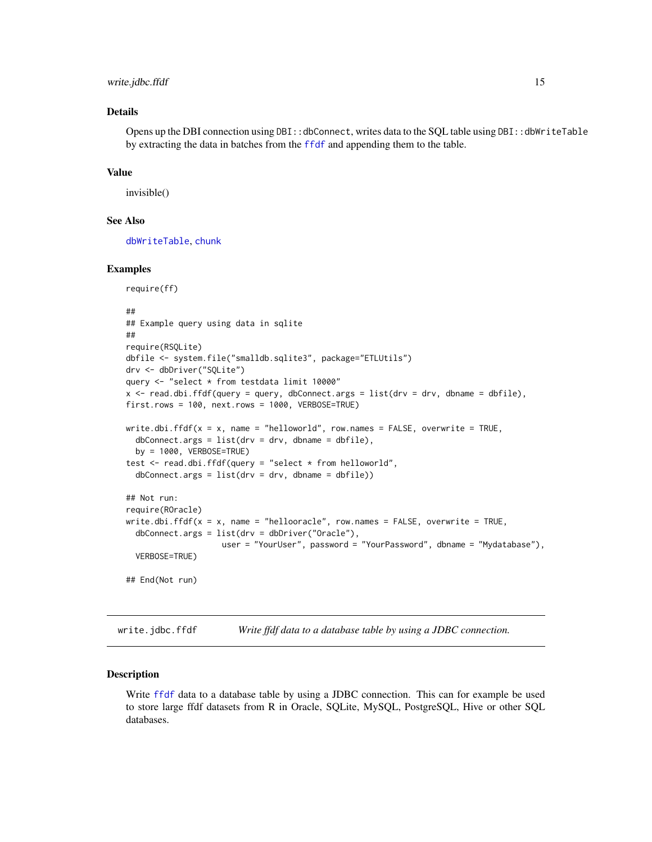#### <span id="page-14-0"></span>write.jdbc.ffdf 15

## Details

Opens up the DBI connection using  $DBI$ ::dbConnect, writes data to the SOL table using  $DBI$ ::dbWriteTable by extracting the data in batches from the [ffdf](#page-0-0) and appending them to the table.

#### Value

invisible()

## See Also

[dbWriteTable](#page-0-0), [chunk](#page-0-0)

## Examples

```
require(ff)
##
## Example query using data in sqlite
##
require(RSQLite)
dbfile <- system.file("smalldb.sqlite3", package="ETLUtils")
drv <- dbDriver("SQLite")
query <- "select * from testdata limit 10000"
x \le read.dbi.ffdf(query = query, dbConnect.args = list(drv = drv, dbname = dbfile),
first.rows = 100, next.rows = 1000, VERBOSE=TRUE)
write.dbi.ffdf(x = x, name = "helloworld", row.names = FALSE, overwrite = TRUE,
  dbConnect.args = list(dr = drv, dbname = dbfile),
  by = 1000, VERBOSE=TRUE)
test <- read.dbi.ffdf(query = "select * from helloworld",
  dbConnect.\nargs = list(dr = drv, dbname = dbfile))## Not run:
require(ROracle)
write.dbi.ffdf(x = x, name = "hellooracle", row.names = FALSE, overwrite = TRUE,
  dbConnect.args = list(drv = dbDriver("Oracle"),
                    user = "YourUser", password = "YourPassword", dbname = "Mydatabase"),
  VERBOSE=TRUE)
## End(Not run)
```
write.jdbc.ffdf *Write ffdf data to a database table by using a JDBC connection.*

#### Description

Write [ffdf](#page-0-0) data to a database table by using a JDBC connection. This can for example be used to store large ffdf datasets from R in Oracle, SQLite, MySQL, PostgreSQL, Hive or other SQL databases.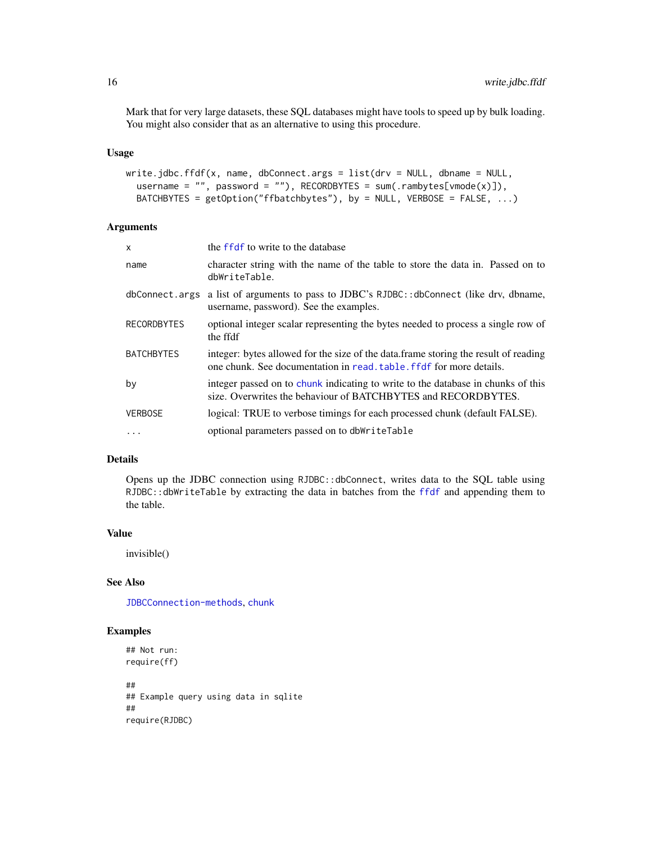<span id="page-15-0"></span>Mark that for very large datasets, these SQL databases might have tools to speed up by bulk loading. You might also consider that as an alternative to using this procedure.

#### Usage

```
write.jdbc.ffdf(x, name, dbConnect.args = list(dr = NULL, dbname = NULL,username = ", password = "), RECORDBYTES = sum(.rambytes[vmode(x)]),
 BATCHBYTES = getOption("ffbatchbytes"), by = NULL, VERBOSE = FALSE, ...)
```
## Arguments

| X           | the ffdf to write to the database                                                                                                                          |
|-------------|------------------------------------------------------------------------------------------------------------------------------------------------------------|
| name        | character string with the name of the table to store the data in. Passed on to<br>dbWriteTable.                                                            |
|             | dbConnect.args a list of arguments to pass to JDBC's RJDBC::dbConnect (like drv, dbname,<br>username, password). See the examples.                         |
| RECORDBYTES | optional integer scalar representing the bytes needed to process a single row of<br>the ffdf                                                               |
| BATCHBYTES  | integer: bytes allowed for the size of the data.frame storing the result of reading<br>one chunk. See documentation in read, table, ffdf for more details. |
| bν          | integer passed on to chunk indicating to write to the database in chunks of this<br>size. Overwrites the behaviour of BATCHBYTES and RECORDBYTES.          |
| VERBOSE     | logical: TRUE to verbose timings for each processed chunk (default FALSE).                                                                                 |
| $\cdots$    | optional parameters passed on to dbWriteTable                                                                                                              |

## Details

Opens up the JDBC connection using RJDBC::dbConnect, writes data to the SQL table using RJDBC::dbWriteTable by extracting the data in batches from the [ffdf](#page-0-0) and appending them to the table.

#### Value

invisible()

## See Also

[JDBCConnection-methods](#page-0-0), [chunk](#page-0-0)

```
## Not run:
require(ff)
##
## Example query using data in sqlite
##
require(RJDBC)
```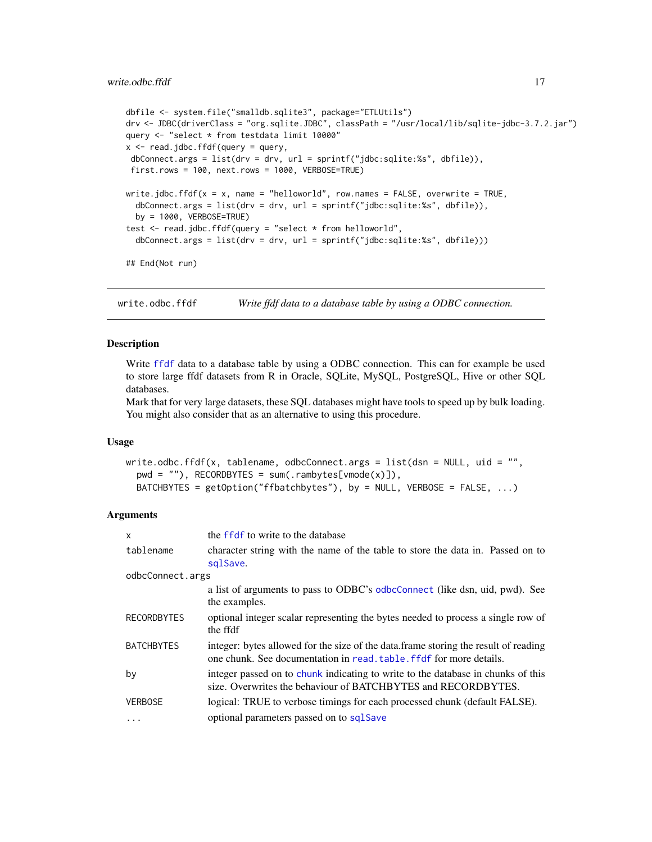```
dbfile <- system.file("smalldb.sqlite3", package="ETLUtils")
drv <- JDBC(driverClass = "org.sqlite.JDBC", classPath = "/usr/local/lib/sqlite-jdbc-3.7.2.jar")
query <- "select * from testdata limit 10000"
x \le - read.jdbc.ffdf(query = query,
dbConnect.args = list(drv = drv, url = sprintf("jdbc:sqlite:%s", dbfile)),
first.rows = 100, next.rows = 1000, VERBOSE=TRUE)
write.jdbc.ffdf(x = x, name = "helloworld", row.names = FALSE, overwrite = TRUE,
 dbConnect.args = list(drv = drv, url = sprintf("jdbc:sqlite:%s", dbfile)),
 by = 1000, VERBOSE=TRUE)
test <- read.jdbc.ffdf(query = "select * from helloworld",
 dbConnect.args = list(drv = drv, url = sprintf("jdbc:sqlite:%s", dbfile)))
## End(Not run)
```
write.odbc.ffdf *Write ffdf data to a database table by using a ODBC connection.*

## Description

Write [ffdf](#page-0-0) data to a database table by using a ODBC connection. This can for example be used to store large ffdf datasets from R in Oracle, SQLite, MySQL, PostgreSQL, Hive or other SQL databases.

Mark that for very large datasets, these SQL databases might have tools to speed up by bulk loading. You might also consider that as an alternative to using this procedure.

#### Usage

```
write.odbc.ffdf(x, tablename, odbcConnect.args = list(dsn = NULL, uid = ",
 pwd = "), RECORDBYTES = sum(.rambytes[vmode(x)]),
 BATCHBYTES = getOption("ffbatchbytes"), by = NULL, VERBOSE = FALSE, ...)
```

| $\mathsf{x}$       | the ffdf to write to the database                                                                                                                           |  |
|--------------------|-------------------------------------------------------------------------------------------------------------------------------------------------------------|--|
| tablename          | character string with the name of the table to store the data in. Passed on to<br>sqlSave.                                                                  |  |
| odbcConnect.args   |                                                                                                                                                             |  |
|                    | a list of arguments to pass to ODBC's odbcConnect (like dsn, uid, pwd). See<br>the examples.                                                                |  |
| <b>RECORDBYTES</b> | optional integer scalar representing the bytes needed to process a single row of<br>the ffdf                                                                |  |
| <b>BATCHBYTES</b>  | integer: bytes allowed for the size of the data. frame storing the result of reading<br>one chunk. See documentation in read, table, ffdf for more details. |  |
| by                 | integer passed on to chunk indicating to write to the database in chunks of this<br>size. Overwrites the behaviour of BATCHBYTES and RECORDBYTES.           |  |
| <b>VERBOSE</b>     | logical: TRUE to verbose timings for each processed chunk (default FALSE).                                                                                  |  |
| $\cdots$           | optional parameters passed on to sqlSave                                                                                                                    |  |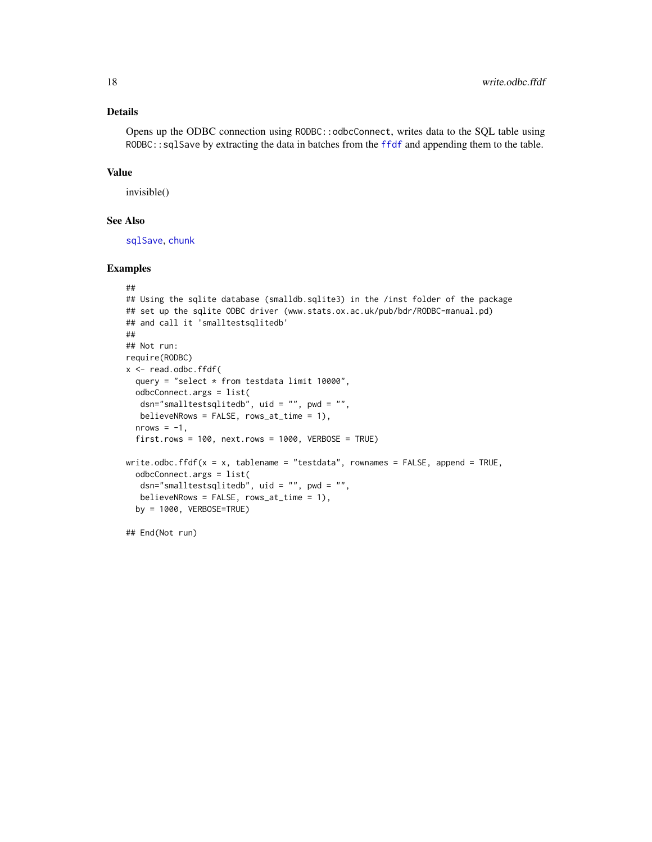## <span id="page-17-0"></span>Details

Opens up the ODBC connection using RODBC::odbcConnect, writes data to the SQL table using RODBC::sqlSave by extracting the data in batches from the [ffdf](#page-0-0) and appending them to the table.

#### Value

invisible()

## See Also

[sqlSave](#page-0-0), [chunk](#page-0-0)

## Examples

```
##
## Using the sqlite database (smalldb.sqlite3) in the /inst folder of the package
## set up the sqlite ODBC driver (www.stats.ox.ac.uk/pub/bdr/RODBC-manual.pd)
## and call it 'smalltestsqlitedb'
##
## Not run:
require(RODBC)
x <- read.odbc.ffdf(
  query = "select * from testdata limit 10000",
  odbcConnect.args = list(
  dsn="smalltestsqlitedb", uid = "", pwd = "",
  believeNRows = FALSE, rows_at_time = 1),
  nrows = -1,
  first rows = 100, next rows = 1000, VERBOSE = TRUEwrite.odbc.ffdf(x = x, tablename = "testdata", rownames = FALSE, append = TRUE,
  odbcConnect.args = list(
  dsn="smalltestsqlitedb", uid = "", pwd = "",
  believeNRows = FALSE, rows_at_time = 1),
  by = 1000, VERBOSE=TRUE)
```
## End(Not run)